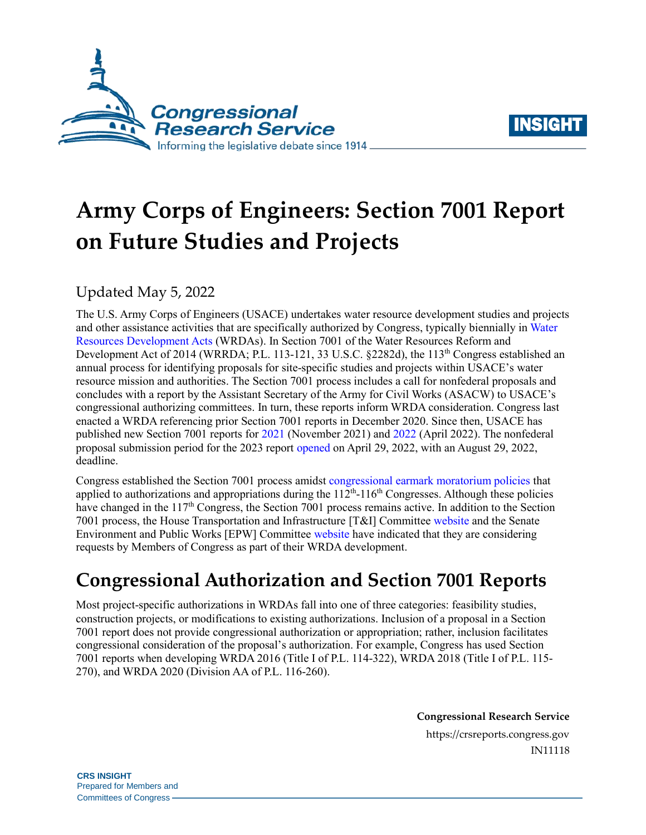



# **Army Corps of Engineers: Section 7001 Report on Future Studies and Projects**

## Updated May 5, 2022

The U.S. Army Corps of Engineers (USACE) undertakes water resource development studies and projects and other assistance activities that are specifically authorized by Congress, typically biennially i[n Water](https://crsreports.congress.gov/product/pdf/IF/IF11322)  [Resources Development Acts](https://crsreports.congress.gov/product/pdf/IF/IF11322) (WRDAs). In Section 7001 of the Water Resources Reform and Development Act of 2014 (WRRDA; [P.L. 113-121,](http://www.congress.gov/cgi-lis/bdquery/R?d113:FLD002:@1(113+121)) 33 U.S.C. §2282d), the 113<sup>th</sup> Congress established an annual process for identifying proposals for site-specific studies and projects within USACE's water resource mission and authorities. The Section 7001 process includes a call for nonfederal proposals and concludes with a report by the Assistant Secretary of the Army for Civil Works (ASACW) to USACE's congressional authorizing committees. In turn, these reports inform WRDA consideration. Congress last enacted a WRDA referencing prior Section 7001 reports in December 2020. Since then, USACE has published new Section 7001 reports for [2021](https://usace.contentdm.oclc.org/utils/getfile/collection/p16021coll5/id/35899) (November 2021) an[d 2022](https://usace.contentdm.oclc.org/utils/getfile/collection/p16021coll5/id/35979) (April 2022). The nonfederal proposal submission period for the 2023 report [opened](https://www.federalregister.gov/documents/2022/04/29/2022-09179/proposals-by-non-federal-interests-for-feasibility-studies-proposed-modifications-to-authorized) on April 29, 2022, with an August 29, 2022, deadline.

Congress established the Section 7001 process amidst [congressional earmark moratorium policies](https://crsreports.congress.gov/product/pdf/R/R45429) that applied to authorizations and appropriations during the  $112<sup>th</sup>$ -116<sup>th</sup> Congresses. Although these policies have changed in the 117<sup>th</sup> Congress, the Section 7001 process remains active. In addition to the Section 7001 process, the House Transportation and Infrastructure [T&I] Committee [website](https://transportation.house.gov/imo/media/doc/Instructions%20for%20database_FINAL.pdf) and the Senate Environment and Public Works [EPW] Committee [website](https://www.epw.senate.gov/public/_cache/files/e/1/e1a5557f-de89-442f-9571-26396db7c476/46ECE692C73686EE7C22437E0D735361.wrda-2022-4292022.pdf) have indicated that they are considering requests by Members of Congress as part of their WRDA development.

# **Congressional Authorization and Section 7001 Reports**

Most project-specific authorizations in WRDAs fall into one of three categories: feasibility studies, construction projects, or modifications to existing authorizations. Inclusion of a proposal in a Section 7001 report does not provide congressional authorization or appropriation; rather, inclusion facilitates congressional consideration of the proposal's authorization. For example, Congress has used Section 7001 reports when developing WRDA 2016 (Title I of [P.L. 114-322\)](http://www.congress.gov/cgi-lis/bdquery/R?d114:FLD002:@1(114+322)), WRDA 2018 (Title I of [P.L. 115-](http://www.congress.gov/cgi-lis/bdquery/R?d115:FLD002:@1(115+270)) [270\)](http://www.congress.gov/cgi-lis/bdquery/R?d115:FLD002:@1(115+270)), and WRDA 2020 (Division AA of [P.L. 116-260\)](http://www.congress.gov/cgi-lis/bdquery/R?d116:FLD002:@1(116+260)).

**Congressional Research Service**

https://crsreports.congress.gov IN11118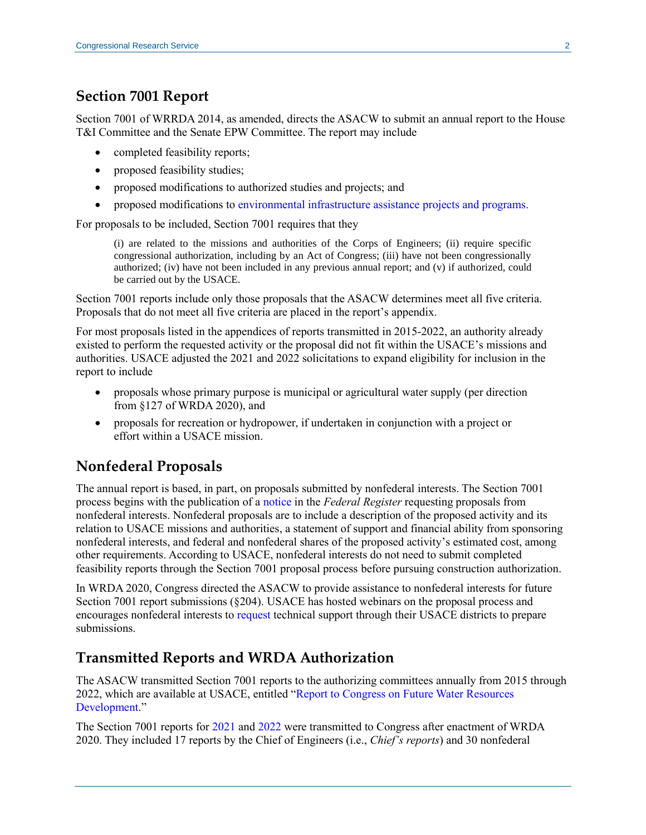#### **Section 7001 Report**

Section 7001 of WRRDA 2014, as amended, directs the ASACW to submit an annual report to the House T&I Committee and the Senate EPW Committee. The report may include

- completed feasibility reports;
- proposed feasibility studies;
- proposed modifications to authorized studies and projects; and
- proposed modifications to [environmental infrastructure assistance](https://crsreports.congress.gov/product/pdf/IF/IF11184) projects and programs.

For proposals to be included, Section 7001 requires that they

(i) are related to the missions and authorities of the Corps of Engineers; (ii) require specific congressional authorization, including by an Act of Congress; (iii) have not been congressionally authorized; (iv) have not been included in any previous annual report; and (v) if authorized, could be carried out by the USACE.

Section 7001 reports include only those proposals that the ASACW determines meet all five criteria. Proposals that do not meet all five criteria are placed in the report's appendix.

For most proposals listed in the appendices of reports transmitted in 2015-2022, an authority already existed to perform the requested activity or the proposal did not fit within the USACE's missions and authorities. USACE adjusted the 2021 and 2022 solicitations to expand eligibility for inclusion in the report to include

- proposals whose primary purpose is municipal or agricultural water supply (per direction from §127 of WRDA 2020), and
- proposals for recreation or hydropower, if undertaken in conjunction with a project or effort within a USACE mission.

#### **Nonfederal Proposals**

The annual report is based, in part, on proposals submitted by nonfederal interests. The Section 7001 process begins with the publication of a [notice](https://www.federalregister.gov/documents/2022/04/29/2022-09179/proposals-by-non-federal-interests-for-feasibility-studies-proposed-modifications-to-authorized) in the *Federal Register* requesting proposals from nonfederal interests. Nonfederal proposals are to include a description of the proposed activity and its relation to USACE missions and authorities, a statement of support and financial ability from sponsoring nonfederal interests, and federal and nonfederal shares of the proposed activity's estimated cost, among other requirements. According to USACE, nonfederal interests do not need to submit completed feasibility reports through the Section 7001 proposal process before pursuing construction authorization.

In WRDA 2020, Congress directed the ASACW to provide assistance to nonfederal interests for future Section 7001 report submissions (§204). USACE has hosted webinars on the proposal process and encourages nonfederal interests t[o request](mailto:wrrda7001proposal@usace.army.mil) technical support through their USACE districts to prepare submissions.

#### **Transmitted Reports and WRDA Authorization**

The ASACW transmitted Section 7001 reports to the authorizing committees annually from 2015 through 2022, which are available at USACE, entitled ["Report to Congress on Future Water Resources](https://www.usace.army.mil/Missions/Civil-Works/Project-Planning/Legislative-Links/wrrda2014/wrrda2014_proposals/)  [Development.](https://www.usace.army.mil/Missions/Civil-Works/Project-Planning/Legislative-Links/wrrda2014/wrrda2014_proposals/)"

The Section 7001 reports for [2021](https://usace.contentdm.oclc.org/utils/getfile/collection/p16021coll5/id/35899) and [2022](https://usace.contentdm.oclc.org/utils/getfile/collection/p16021coll5/id/35979) were transmitted to Congress after enactment of WRDA 2020. They included 17 reports by the Chief of Engineers (i.e., *Chief's reports*) and 30 nonfederal